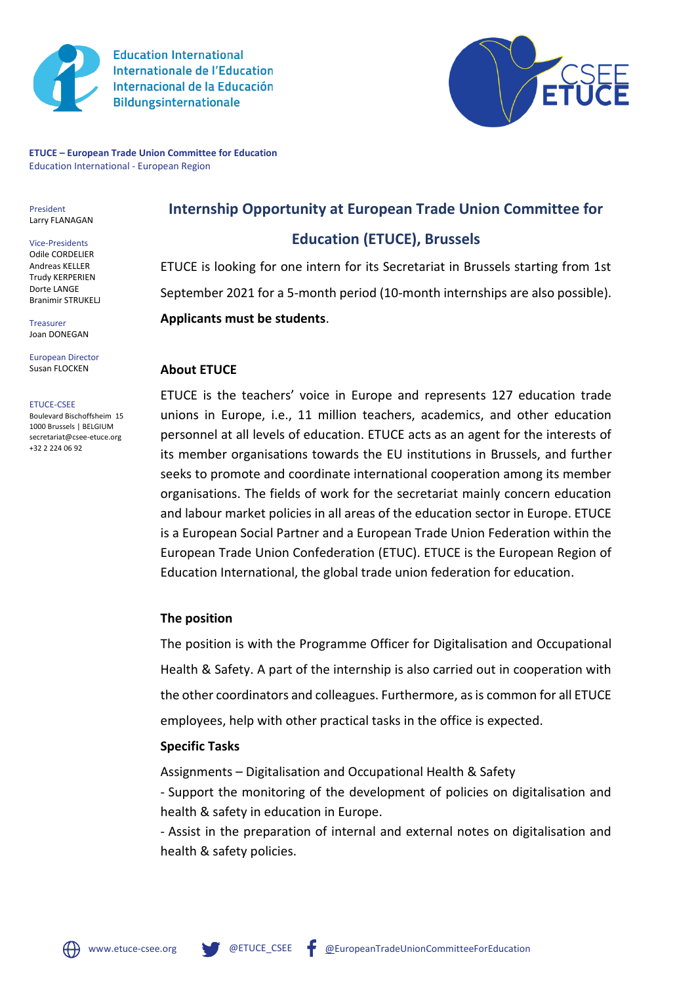

**Education International Internationale de l'Education** Internacional de la Educación **Bildungsinternationale** 



**ETUCE – European Trade Union Committee for Education** Education International - European Region

President Larry FLANAGAN

Vice-Presidents Odile CORDELIER Andreas KELLER Trudy KERPERIEN Dorte LANGE Branimir STRUKELJ

Treasurer Joan DONEGAN

European Director Susan FLOCKEN

ETUCE-CSEE

Boulevard Bischoffsheim 15 1000 Brussels | BELGIUM secretariat@csee-etuce.org +32 2 224 06 92

**Internship Opportunity at European Trade Union Committee for** 

# **Education (ETUCE), Brussels**

ETUCE is looking for one intern for its Secretariat in Brussels starting from 1st September 2021 for a 5-month period (10-month internships are also possible). **Applicants must be students**.

### **About ETUCE**

ETUCE is the teachers' voice in Europe and represents 127 education trade unions in Europe, i.e., 11 million teachers, academics, and other education personnel at all levels of education. ETUCE acts as an agent for the interests of its member organisations towards the EU institutions in Brussels, and further seeks to promote and coordinate international cooperation among its member organisations. The fields of work for the secretariat mainly concern education and labour market policies in all areas of the education sector in Europe. ETUCE is a European Social Partner and a European Trade Union Federation within the European Trade Union Confederation (ETUC). ETUCE is the European Region of Education International, the global trade union federation for education.

#### **The position**

The position is with the Programme Officer for Digitalisation and Occupational Health & Safety. A part of the internship is also carried out in cooperation with the other coordinators and colleagues. Furthermore, as is common for all ETUCE employees, help with other practical tasks in the office is expected.

#### **Specific Tasks**

Assignments – Digitalisation and Occupational Health & Safety

- Support the monitoring of the development of policies on digitalisation and health & safety in education in Europe.

- Assist in the preparation of internal and external notes on digitalisation and health & safety policies.